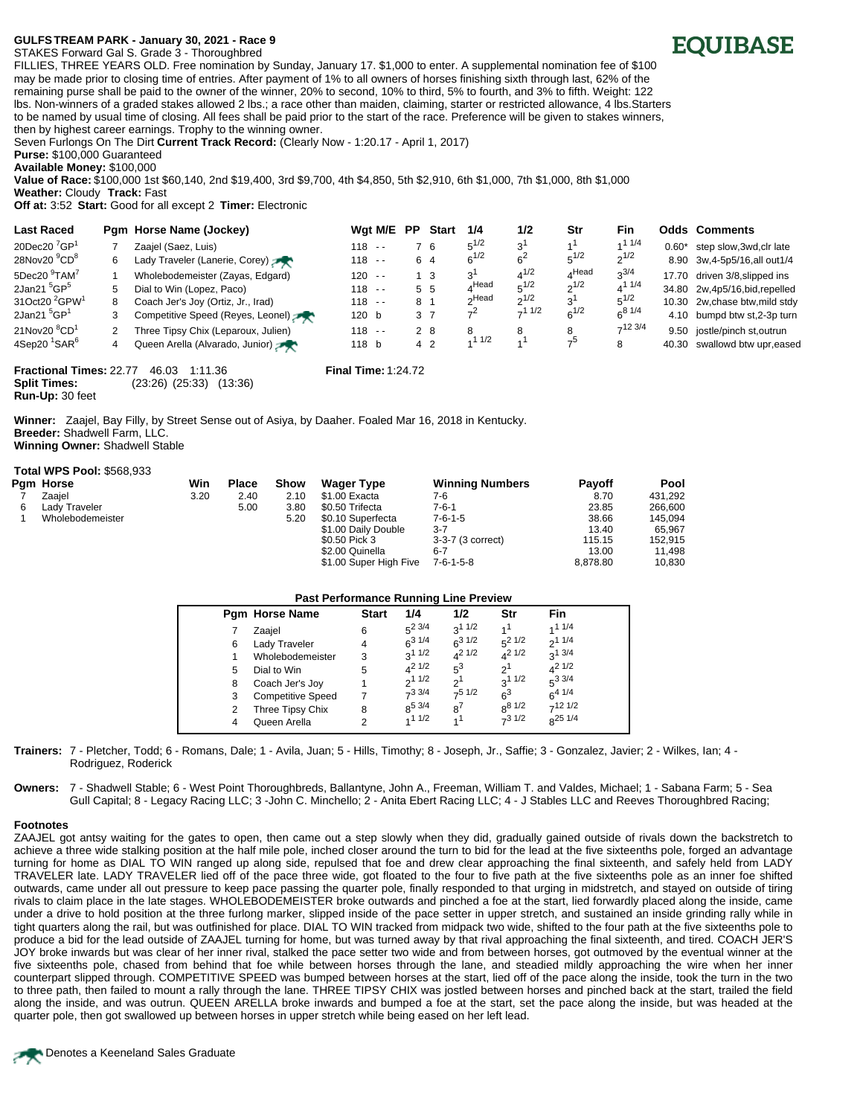## **GULFS<TREAM PARK - January 30, 2021 - Race 9**

STAKES Forward Gal S. Grade 3 - Thoroughbred



FILLIES, THREE YEARS OLD. Free nomination by Sunday, January 17. \$1,000 to enter. A supplemental nomination fee of \$100 may be made prior to closing time of entries. After payment of 1% to all owners of horses finishing sixth through last, 62% of the remaining purse shall be paid to the owner of the winner, 20% to second, 10% to third, 5% to fourth, and 3% to fifth. Weight: 122 lbs. Non-winners of a graded stakes allowed 2 lbs.; a race other than maiden, claiming, starter or restricted allowance, 4 lbs.Starters to be named by usual time of closing. All fees shall be paid prior to the start of the race. Preference will be given to stakes winners, then by highest career earnings. Trophy to the winning owner.

Seven Furlongs On The Dirt **Current Track Record:** (Clearly Now - 1:20.17 - April 1, 2017)

**Purse:** \$100,000 Guaranteed

**Available Money:** \$100,000

**Value of Race:** \$100,000 1st \$60,140, 2nd \$19,400, 3rd \$9,700, 4th \$4,850, 5th \$2,910, 6th \$1,000, 7th \$1,000, 8th \$1,000

**Weather:** Cloudy **Track:** Fast **Off at:** 3:52 **Start:** Good for all except 2 **Timer:** Electronic

| <b>Last Raced</b>                     |               | Pam Horse Name (Jockey)             |           | Wat M/E | <b>PP</b> | <b>Start</b>   | 1/4            | 1/2            | Str       | <b>Fin</b>    |         | <b>Odds Comments</b>            |
|---------------------------------------|---------------|-------------------------------------|-----------|---------|-----------|----------------|----------------|----------------|-----------|---------------|---------|---------------------------------|
| 20Dec20 $^7$ GP <sup>1</sup>          |               | Zaajel (Saez, Luis)                 | $118 - -$ |         |           | ′6             | $5^{1/2}$      | 3 <sup>1</sup> |           | 11/4          | $0.60*$ | step slow, 3wd, clr late        |
| 28Nov20 <sup>9</sup> CD <sup>8</sup>  | 6             | Lady Traveler (Lanerie, Corey)      | $118 - -$ |         |           | 6 4            | $6^{1/2}$      | 6 <sup>2</sup> | $5^{1/2}$ | $2^{1/2}$     |         | 8.90 3w, 4-5p5/16, all out 1/4  |
| 5Dec20 <sup>9</sup> TAM <sup>7</sup>  |               | Wholebodemeister (Zayas, Edgard)    | $120 - -$ |         |           | - 3            | 3'             | $4^{1/2}$      | $A$ Head  | $3^{3/4}$     |         | 17.70 driven 3/8, slipped ins   |
| 2Jan21 <sup>5</sup> GP <sup>5</sup>   | 5             | Dial to Win (Lopez, Paco)           | $118 - -$ |         |           | 5 <sub>5</sub> | $A$ Head       | $5^{1/2}$      | $2^{1/2}$ | $4^{11/4}$    |         | 34.80 2w, 4p5/16, bid, repelled |
| 31Oct20 <sup>2</sup> GPW <sup>1</sup> | 8             | Coach Jer's Joy (Ortiz, Jr., Irad)  | $118 - -$ |         | 8 1       |                | ∩Head          | $2^{1/2}$      | $3^1$     | $5^{1/2}$     |         | 10.30 2w, chase btw, mild stdy  |
| 2Jan21 $5$ GP $1$                     | 3             | Competitive Speed (Reyes, Leonel)   | 120 b     |         |           | 3 7            | 7 <sup>2</sup> | $-11/2$        | $6^{1/2}$ | $6^{8}$ $1/4$ |         | 4.10 bumpd btw st,2-3p turn     |
| 21Nov20 <sup>8</sup> CD <sup>1</sup>  | $\mathcal{P}$ | Three Tipsy Chix (Leparoux, Julien) | $118 - -$ |         |           | 2 8            | 8              | 8              |           | $7^{12}$ 3/4  |         | 9.50 iostle/pinch st.outrun     |
| 4Sep20 <sup>1</sup> SAR <sup>6</sup>  | 4             | Queen Arella (Alvarado, Junior)     | 118 b     |         |           | 4 <sub>2</sub> | 11/2           | $\overline{A}$ | ౼౽        | 8             |         | 40.30 swallowd btw upr, eased   |

**Fractional Times:** 22.77 46.03 1:11.36 **Final Time:** 1:24.72 **Split Times:** (23:26) (25:33) (13:36) **Run-Up:** 30 feet

**Winner:** Zaajel, Bay Filly, by Street Sense out of Asiya, by Daaher. Foaled Mar 16, 2018 in Kentucky. **Breeder:** Shadwell Farm, LLC. **Winning Owner:** Shadwell Stable

## **Total WPS Pool:** \$568,933

|   | Pgm Horse        | Win  | <b>Place</b> | Show | <b>Wager Type</b>      | <b>Winning Numbers</b> | <b>Payoff</b> | Pool    |
|---|------------------|------|--------------|------|------------------------|------------------------|---------------|---------|
|   | Zaaiel           | 3.20 | 2.40         | 2.10 | \$1.00 Exacta          | 7-6                    | 8.70          | 431.292 |
| 6 | Lady Traveler    |      | 5.00         | 3.80 | \$0.50 Trifecta        | 7-6-1                  | 23.85         | 266.600 |
|   | Wholebodemeister |      |              | 5.20 | \$0.10 Superfecta      | $7 - 6 - 1 - 5$        | 38.66         | 145.094 |
|   |                  |      |              |      | \$1.00 Daily Double    | $3 - 7$                | 13.40         | 65.967  |
|   |                  |      |              |      | \$0.50 Pick 3          | 3-3-7 (3 correct)      | 115.15        | 152.915 |
|   |                  |      |              |      | \$2.00 Quinella        | $6 - 7$                | 13.00         | 11.498  |
|   |                  |      |              |      | \$1.00 Super High Five | 7-6-1-5-8              | 8.878.80      | 10,830  |

## **Past Performance Running Line Preview**

|   | <b>Pam Horse Name</b>    | <b>Start</b> | 1/4         | 1/2            | Str         | Fin           |
|---|--------------------------|--------------|-------------|----------------|-------------|---------------|
|   | Zaajel                   | 6            | $5^2$ 3/4   | $3^{11/2}$     |             | 11/4          |
| 6 | Lady Traveler            | 4            | $6^{31/4}$  | $6^{3}$ 1/2    | $5^2$ 1/2   | $2^{11/4}$    |
|   | Wholebodemeister         | 3            | $3^{11/2}$  | $1/2$ 1/2      | $A^2$ 1/2   | 3/4           |
| 5 | Dial to Win              | 5            | $4^{21/2}$  | $5^3$          | $2^1$       | $4^2$ 1/2     |
| 8 | Coach Jer's Joy          |              | $2^{11/2}$  | 2 <sup>1</sup> | $3^{11/2}$  | $5^{3}3/4$    |
| 3 | <b>Competitive Speed</b> |              | $7^3$ 3/4   | $-51/2$        | $\kappa^3$  | $6^{4}$ $1/4$ |
| 2 | Three Tipsy Chix         | 8            | $8^{5}$ 3/4 | $a^7$          | $8^{8}$ 1/2 | $-121/2$      |
| 4 | Queen Arella             | 2            | 11/2        |                | $-31/2$     | $R^{25}$ 1/4  |

**Trainers:** 7 - Pletcher, Todd; 6 - Romans, Dale; 1 - Avila, Juan; 5 - Hills, Timothy; 8 - Joseph, Jr., Saffie; 3 - Gonzalez, Javier; 2 - Wilkes, Ian; 4 - Rodriguez, Roderick

**Owners:** 7 - Shadwell Stable; 6 - West Point Thoroughbreds, Ballantyne, John A., Freeman, William T. and Valdes, Michael; 1 - Sabana Farm; 5 - Sea Gull Capital; 8 - Legacy Racing LLC; 3 -John C. Minchello; 2 - Anita Ebert Racing LLC; 4 - J Stables LLC and Reeves Thoroughbred Racing;

## **Footnotes**

ZAAJEL got antsy waiting for the gates to open, then came out a step slowly when they did, gradually gained outside of rivals down the backstretch to achieve a three wide stalking position at the half mile pole, inched closer around the turn to bid for the lead at the five sixteenths pole, forged an advantage turning for home as DIAL TO WIN ranged up along side, repulsed that foe and drew clear approaching the final sixteenth, and safely held from LADY TRAVELER late. LADY TRAVELER lied off of the pace three wide, got floated to the four to five path at the five sixteenths pole as an inner foe shifted outwards, came under all out pressure to keep pace passing the quarter pole, finally responded to that urging in midstretch, and stayed on outside of tiring rivals to claim place in the late stages. WHOLEBODEMEISTER broke outwards and pinched a foe at the start, lied forwardly placed along the inside, came under a drive to hold position at the three furlong marker, slipped inside of the pace setter in upper stretch, and sustained an inside grinding rally while in tight quarters along the rail, but was outfinished for place. DIAL TO WIN tracked from midpack two wide, shifted to the four path at the five sixteenths pole to produce a bid for the lead outside of ZAAJEL turning for home, but was turned away by that rival approaching the final sixteenth, and tired. COACH JER'S JOY broke inwards but was clear of her inner rival, stalked the pace setter two wide and from between horses, got outmoved by the eventual winner at the five sixteenths pole, chased from behind that foe while between horses through the lane, and steadied mildly approaching the wire when her inner counterpart slipped through. COMPETITIVE SPEED was bumped between horses at the start, lied off of the pace along the inside, took the turn in the two to three path, then failed to mount a rally through the lane. THREE TIPSY CHIX was jostled between horses and pinched back at the start, trailed the field along the inside, and was outrun. QUEEN ARELLA broke inwards and bumped a foe at the start, set the pace along the inside, but was headed at the quarter pole, then got swallowed up between horses in upper stretch while being eased on her left lead.